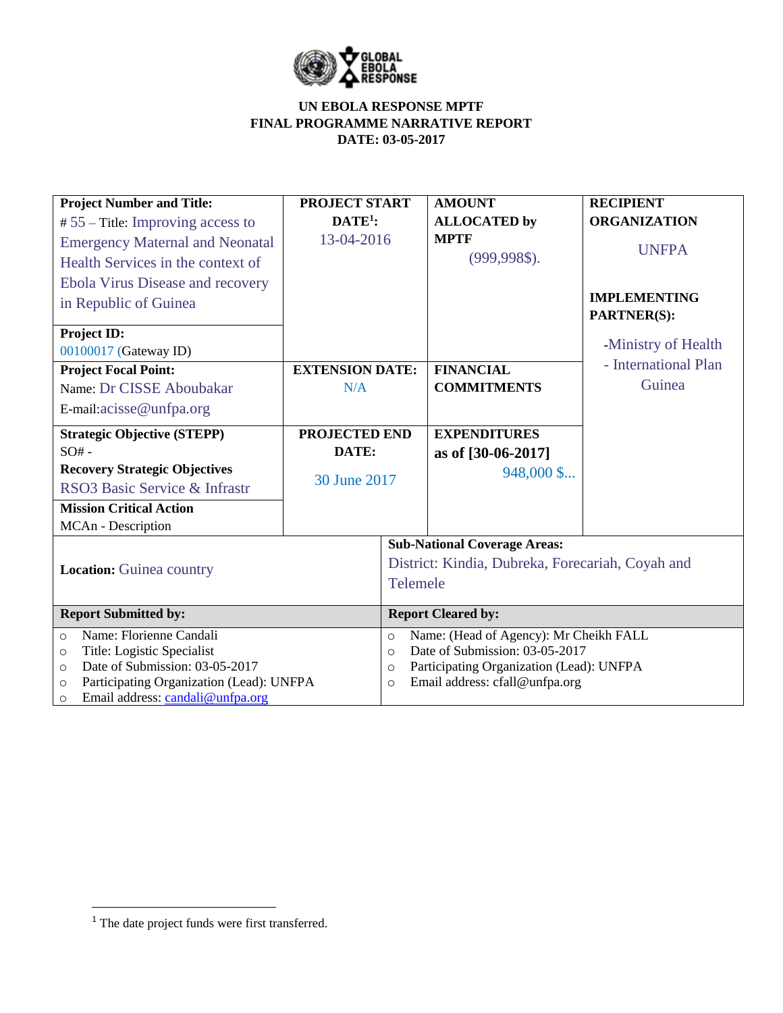

| <b>Project Number and Title:</b>                    | <b>PROJECT START</b>   |                                                     | <b>AMOUNT</b>                       | <b>RECIPIENT</b>                          |  |  |  |
|-----------------------------------------------------|------------------------|-----------------------------------------------------|-------------------------------------|-------------------------------------------|--|--|--|
| $# 55$ – Title: Improving access to                 | $DATE1$ :              |                                                     | <b>ALLOCATED by</b>                 | <b>ORGANIZATION</b>                       |  |  |  |
| <b>Emergency Maternal and Neonatal</b>              | 13-04-2016             |                                                     | <b>MPTF</b>                         | <b>UNFPA</b>                              |  |  |  |
| Health Services in the context of                   |                        |                                                     | $(999, 998\$ .                      |                                           |  |  |  |
| <b>Ebola Virus Disease and recovery</b>             |                        |                                                     |                                     |                                           |  |  |  |
| in Republic of Guinea                               |                        |                                                     |                                     | <b>IMPLEMENTING</b><br><b>PARTNER(S):</b> |  |  |  |
| Project ID:                                         |                        |                                                     |                                     |                                           |  |  |  |
| 00100017 (Gateway ID)                               |                        |                                                     |                                     | -Ministry of Health                       |  |  |  |
| <b>Project Focal Point:</b>                         | <b>EXTENSION DATE:</b> |                                                     | <b>FINANCIAL</b>                    | - International Plan                      |  |  |  |
| Name: Dr CISSE Aboubakar                            | N/A                    |                                                     | <b>COMMITMENTS</b>                  | Guinea                                    |  |  |  |
| E-mail:acisse@unfpa.org                             |                        |                                                     |                                     |                                           |  |  |  |
| <b>Strategic Objective (STEPP)</b>                  | PROJECTED END          |                                                     | <b>EXPENDITURES</b>                 |                                           |  |  |  |
| $SO# -$                                             | DATE:                  |                                                     | as of [30-06-2017]                  |                                           |  |  |  |
| <b>Recovery Strategic Objectives</b>                |                        |                                                     | 948,000 \$                          |                                           |  |  |  |
| RSO3 Basic Service & Infrastr                       | 30 June 2017           |                                                     |                                     |                                           |  |  |  |
| <b>Mission Critical Action</b>                      |                        |                                                     |                                     |                                           |  |  |  |
| MCAn - Description                                  |                        |                                                     |                                     |                                           |  |  |  |
|                                                     |                        |                                                     | <b>Sub-National Coverage Areas:</b> |                                           |  |  |  |
| <b>Location:</b> Guinea country                     |                        | District: Kindia, Dubreka, Forecariah, Coyah and    |                                     |                                           |  |  |  |
|                                                     |                        | Telemele                                            |                                     |                                           |  |  |  |
| <b>Report Submitted by:</b>                         |                        | <b>Report Cleared by:</b>                           |                                     |                                           |  |  |  |
| Name: Florienne Candali<br>$\circ$                  |                        | Name: (Head of Agency): Mr Cheikh FALL<br>$\circ$   |                                     |                                           |  |  |  |
| Title: Logistic Specialist<br>$\circ$               |                        | Date of Submission: 03-05-2017<br>$\Omega$          |                                     |                                           |  |  |  |
| Date of Submission: 03-05-2017<br>$\circ$           |                        | Participating Organization (Lead): UNFPA<br>$\circ$ |                                     |                                           |  |  |  |
| Participating Organization (Lead): UNFPA<br>$\circ$ |                        | Email address: cfall@unfpa.org<br>$\circ$           |                                     |                                           |  |  |  |
| Email address: candali@unfpa.org<br>$\circ$         |                        |                                                     |                                     |                                           |  |  |  |

 $\overline{\phantom{a}}$ 

 $<sup>1</sup>$  The date project funds were first transferred.</sup>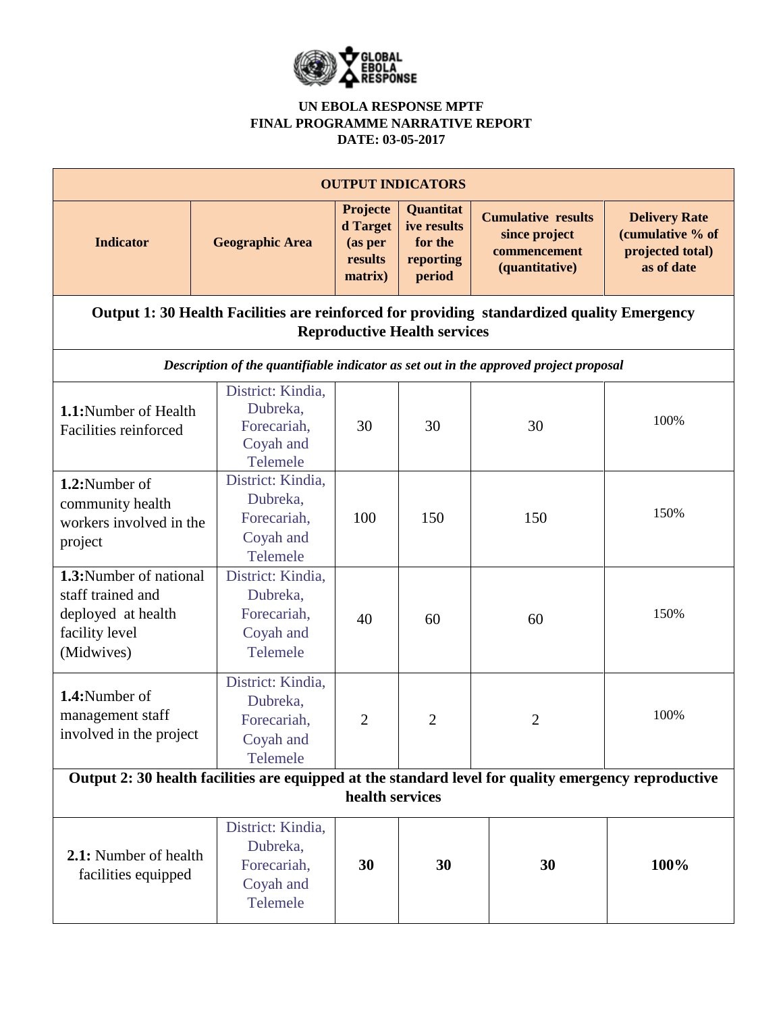

| <b>OUTPUT INDICATORS</b>                                                                                                          |                                                                       |                                                              |                                                            |                                                                              |                                                                            |  |  |  |  |
|-----------------------------------------------------------------------------------------------------------------------------------|-----------------------------------------------------------------------|--------------------------------------------------------------|------------------------------------------------------------|------------------------------------------------------------------------------|----------------------------------------------------------------------------|--|--|--|--|
| <b>Indicator</b>                                                                                                                  | <b>Geographic Area</b>                                                | <b>Projecte</b><br>d Target<br>(as per<br>results<br>matrix) | Quantitat<br>ive results<br>for the<br>reporting<br>period | <b>Cumulative results</b><br>since project<br>commencement<br>(quantitative) | <b>Delivery Rate</b><br>(cumulative % of<br>projected total)<br>as of date |  |  |  |  |
| Output 1: 30 Health Facilities are reinforced for providing standardized quality Emergency<br><b>Reproductive Health services</b> |                                                                       |                                                              |                                                            |                                                                              |                                                                            |  |  |  |  |
| Description of the quantifiable indicator as set out in the approved project proposal                                             |                                                                       |                                                              |                                                            |                                                                              |                                                                            |  |  |  |  |
| 1.1:Number of Health<br>Facilities reinforced                                                                                     | District: Kindia,<br>Dubreka,<br>Forecariah,<br>Coyah and<br>Telemele | 30                                                           | 30                                                         | 30                                                                           | 100%                                                                       |  |  |  |  |
| 1.2:Number of<br>community health<br>workers involved in the<br>project                                                           | District: Kindia.<br>Dubreka,<br>Forecariah,<br>Coyah and<br>Telemele | 100                                                          | 150                                                        | 150                                                                          | 150%                                                                       |  |  |  |  |
| 1.3:Number of national<br>staff trained and<br>deployed at health<br>facility level<br>(Midwives)                                 | District: Kindia,<br>Dubreka,<br>Forecariah,<br>Coyah and<br>Telemele | 40                                                           | 60                                                         | 60                                                                           | 150%                                                                       |  |  |  |  |
| 1.4:Number of<br>management staff<br>involved in the project                                                                      | District: Kindia,<br>Dubreka,<br>Forecariah,<br>Coyah and<br>Telemele | 2                                                            | $\overline{2}$                                             | 2                                                                            | 100%                                                                       |  |  |  |  |
| Output 2: 30 health facilities are equipped at the standard level for quality emergency reproductive<br>health services           |                                                                       |                                                              |                                                            |                                                                              |                                                                            |  |  |  |  |
| 2.1: Number of health<br>facilities equipped                                                                                      | District: Kindia,<br>Dubreka,<br>Forecariah,<br>Coyah and<br>Telemele | 30                                                           | 30                                                         | 30                                                                           | 100%                                                                       |  |  |  |  |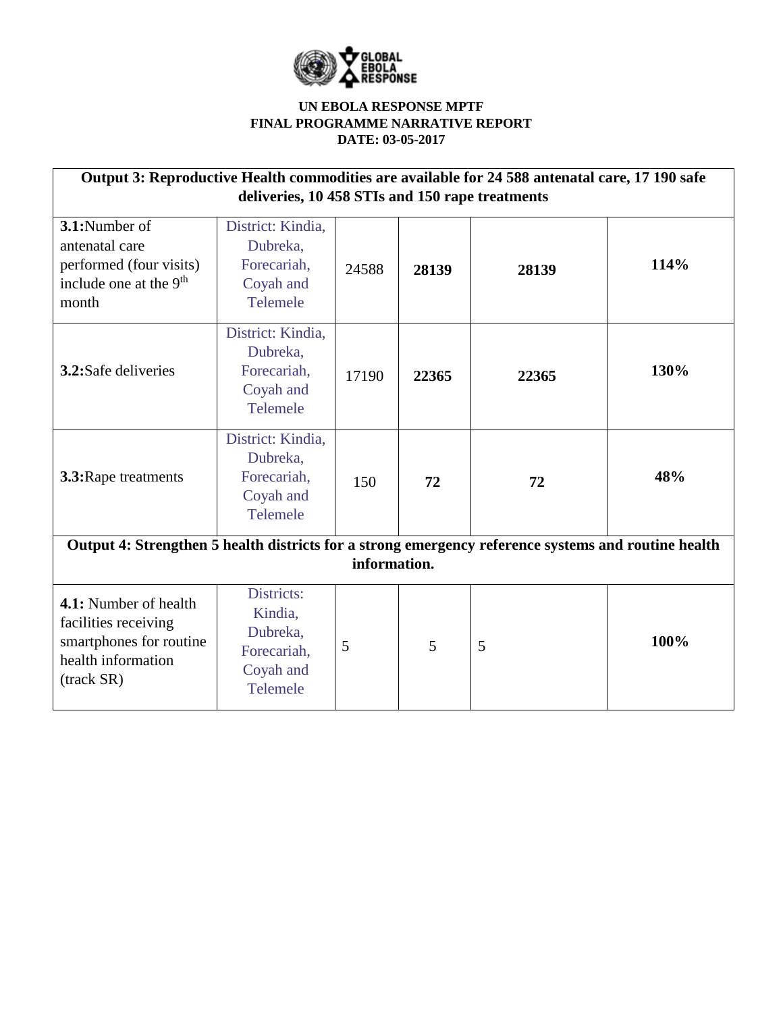

| Output 3: Reproductive Health commodities are available for 24 588 antenatal care, 17 190 safe<br>deliveries, 10 458 STIs and 150 rape treatments |                                                                           |       |       |       |      |  |  |  |
|---------------------------------------------------------------------------------------------------------------------------------------------------|---------------------------------------------------------------------------|-------|-------|-------|------|--|--|--|
| 3.1:Number of<br>antenatal care<br>performed (four visits)<br>include one at the 9 <sup>th</sup><br>month                                         | District: Kindia,<br>Dubreka,<br>Forecariah,<br>Coyah and<br>Telemele     | 24588 | 28139 | 28139 | 114% |  |  |  |
| 3.2:Safe deliveries                                                                                                                               | District: Kindia,<br>Dubreka,<br>Forecariah,<br>Coyah and<br>Telemele     | 17190 | 22365 | 22365 | 130% |  |  |  |
| 3.3: Rape treatments                                                                                                                              | District: Kindia,<br>Dubreka,<br>Forecariah,<br>Coyah and<br>Telemele     | 150   | 72    | 72    | 48%  |  |  |  |
| Output 4: Strengthen 5 health districts for a strong emergency reference systems and routine health<br>information.                               |                                                                           |       |       |       |      |  |  |  |
|                                                                                                                                                   |                                                                           |       |       |       |      |  |  |  |
| 4.1: Number of health<br>facilities receiving<br>smartphones for routine<br>health information<br>(track SR)                                      | Districts:<br>Kindia,<br>Dubreka,<br>Forecariah,<br>Coyah and<br>Telemele | 5     | 5     | 5     | 100% |  |  |  |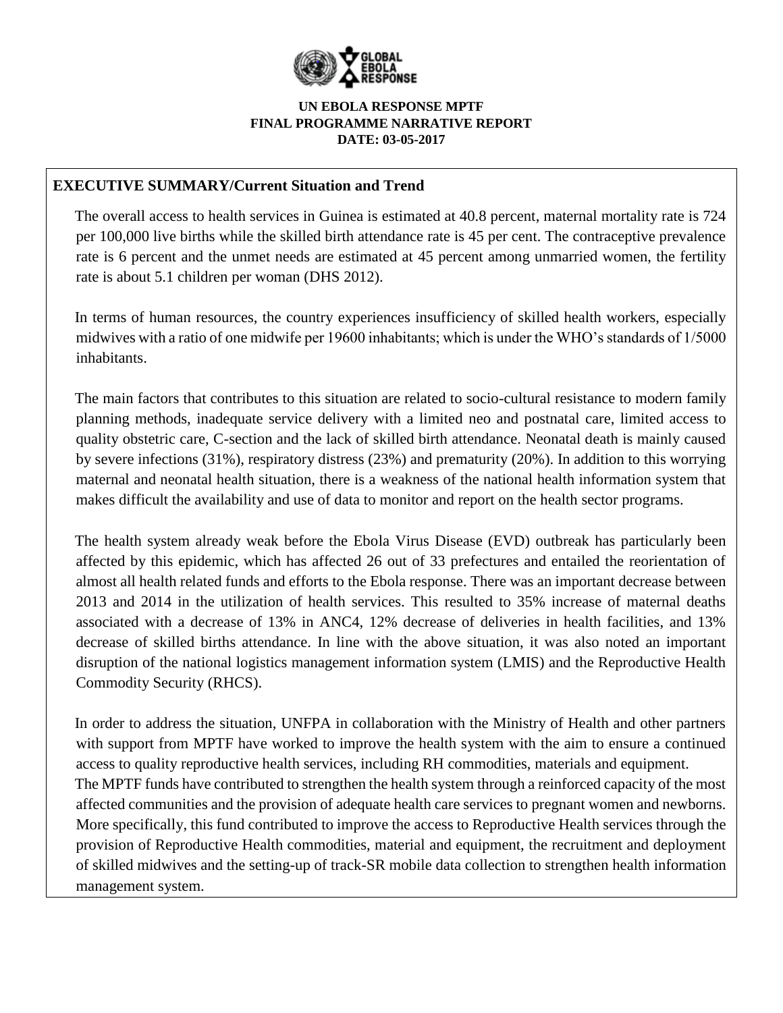

# **EXECUTIVE SUMMARY/Current Situation and Trend**

The overall access to health services in Guinea is estimated at 40.8 percent, maternal mortality rate is 724 per 100,000 live births while the skilled birth attendance rate is 45 per cent. The contraceptive prevalence rate is 6 percent and the unmet needs are estimated at 45 percent among unmarried women, the fertility rate is about 5.1 children per woman (DHS 2012).

In terms of human resources, the country experiences insufficiency of skilled health workers, especially midwives with a ratio of one midwife per 19600 inhabitants; which is under the WHO's standards of 1/5000 inhabitants.

The main factors that contributes to this situation are related to socio-cultural resistance to modern family planning methods, inadequate service delivery with a limited neo and postnatal care, limited access to quality obstetric care, C-section and the lack of skilled birth attendance. Neonatal death is mainly caused by severe infections (31%), respiratory distress (23%) and prematurity (20%). In addition to this worrying maternal and neonatal health situation, there is a weakness of the national health information system that makes difficult the availability and use of data to monitor and report on the health sector programs.

The health system already weak before the Ebola Virus Disease (EVD) outbreak has particularly been affected by this epidemic, which has affected 26 out of 33 prefectures and entailed the reorientation of almost all health related funds and efforts to the Ebola response. There was an important decrease between 2013 and 2014 in the utilization of health services. This resulted to 35% increase of maternal deaths associated with a decrease of 13% in ANC4, 12% decrease of deliveries in health facilities, and 13% decrease of skilled births attendance. In line with the above situation, it was also noted an important disruption of the national logistics management information system (LMIS) and the Reproductive Health Commodity Security (RHCS).

In order to address the situation, UNFPA in collaboration with the Ministry of Health and other partners with support from MPTF have worked to improve the health system with the aim to ensure a continued access to quality reproductive health services, including RH commodities, materials and equipment. The MPTF funds have contributed to strengthen the health system through a reinforced capacity of the most affected communities and the provision of adequate health care services to pregnant women and newborns. More specifically, this fund contributed to improve the access to Reproductive Health services through the provision of Reproductive Health commodities, material and equipment, the recruitment and deployment of skilled midwives and the setting-up of track-SR mobile data collection to strengthen health information management system.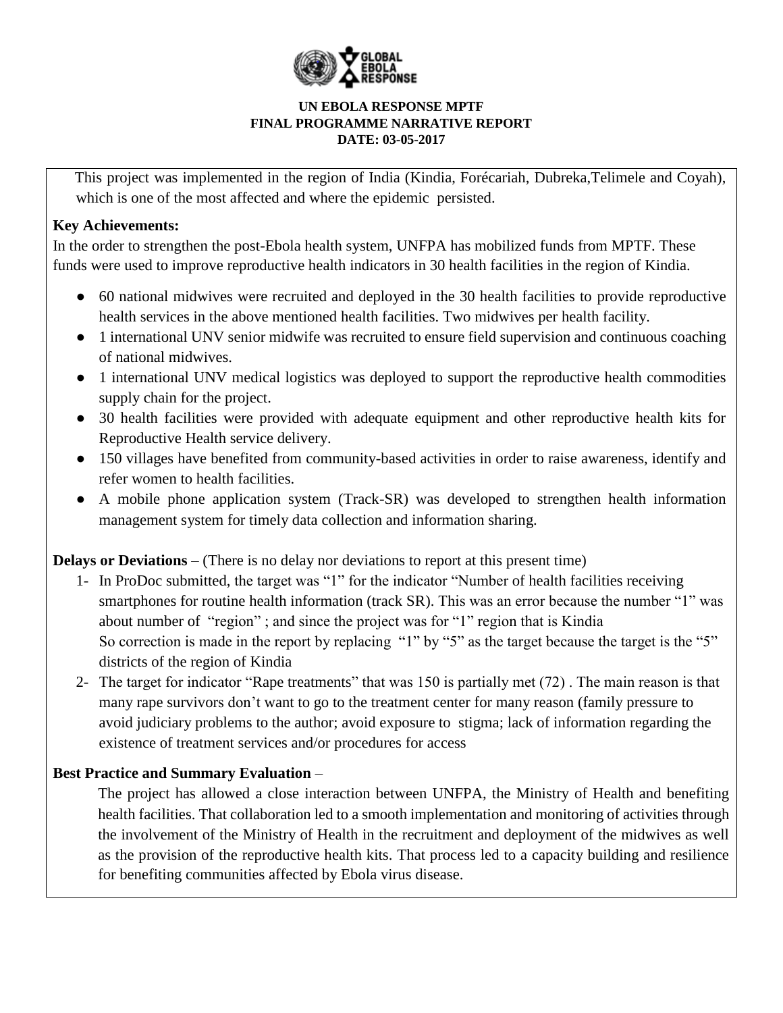

This project was implemented in the region of India (Kindia, Forécariah, Dubreka,Telimele and Coyah), which is one of the most affected and where the epidemic persisted.

# **Key Achievements:**

In the order to strengthen the post-Ebola health system, UNFPA has mobilized funds from MPTF. These funds were used to improve reproductive health indicators in 30 health facilities in the region of Kindia.

- 60 national midwives were recruited and deployed in the 30 health facilities to provide reproductive health services in the above mentioned health facilities. Two midwives per health facility.
- 1 international UNV senior midwife was recruited to ensure field supervision and continuous coaching of national midwives.
- 1 international UNV medical logistics was deployed to support the reproductive health commodities supply chain for the project.
- 30 health facilities were provided with adequate equipment and other reproductive health kits for Reproductive Health service delivery.
- 150 villages have benefited from community-based activities in order to raise awareness, identify and refer women to health facilities.
- A mobile phone application system (Track-SR) was developed to strengthen health information management system for timely data collection and information sharing.

**Delays or Deviations** – (There is no delay nor deviations to report at this present time)

- 1- In ProDoc submitted, the target was "1" for the indicator "Number of health facilities receiving smartphones for routine health information (track SR). This was an error because the number "1" was about number of "region" ; and since the project was for "1" region that is Kindia So correction is made in the report by replacing "1" by "5" as the target because the target is the "5" districts of the region of Kindia
- 2- The target for indicator "Rape treatments" that was 150 is partially met (72) . The main reason is that many rape survivors don't want to go to the treatment center for many reason (family pressure to avoid judiciary problems to the author; avoid exposure to stigma; lack of information regarding the existence of treatment services and/or procedures for access

# **Best Practice and Summary Evaluation** *–*

The project has allowed a close interaction between UNFPA, the Ministry of Health and benefiting health facilities. That collaboration led to a smooth implementation and monitoring of activities through the involvement of the Ministry of Health in the recruitment and deployment of the midwives as well as the provision of the reproductive health kits. That process led to a capacity building and resilience for benefiting communities affected by Ebola virus disease.